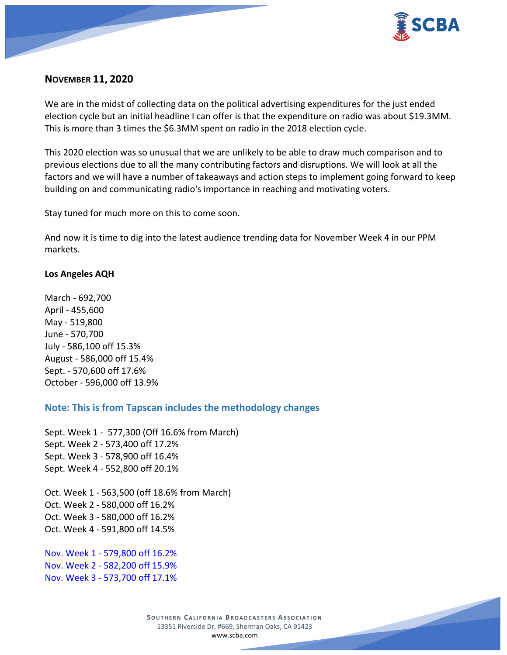

## **NOVEMBER 11, 2020**

We are in the midst of collecting data on the political advertising expenditures for the just ended election cycle but an initial headline I can offer is that the expenditure on radio was about \$19.3MM. This is more than 3 times the \$6.3MM spent on radio in the 2018 election cycle.

This 2020 election was so unusual that we are unlikely to be able to draw much comparison and to previous elections due to all the many contributing factors and disruptions. We will look at all the factors and we will have a number of takeaways and action steps to implement going forward to keep building on and communicating radio's importance in reaching and motivating voters.

Stay tuned for much more on this to come soon.

And now it is time to dig into the latest audience trending data for November Week 4 in our PPM markets.

## **Los Angeles AQH**

March - 692,700 April - 455,600 May - 519,800 June - 570,700 July - 586,100 off 15.3% August - 586,000 off 15.4% Sept. - 570,600 off 17.6% October - 596,000 off 13.9%

## **Note: This is from Tapscan includes the methodology changes**

Sept. Week 1 - 577,300 (Off 16.6% from March) Sept. Week 2 - 573,400 off 17.2% Sept. Week 3 - 578,900 off 16.4% Sept. Week 4 - 552,800 off 20.1%

Oct. Week 1 - 563,500 (off 18.6% from March) Oct. Week 2 - 580,000 off 16.2% Oct. Week 3 - 580,000 off 16.2% Oct. Week 4 - 591,800 off 14.5%

Nov. Week 1 - 579,800 off 16.2% Nov. Week 2 - 582,200 off 15.9% Nov. Week 3 - 573,700 off 17.1%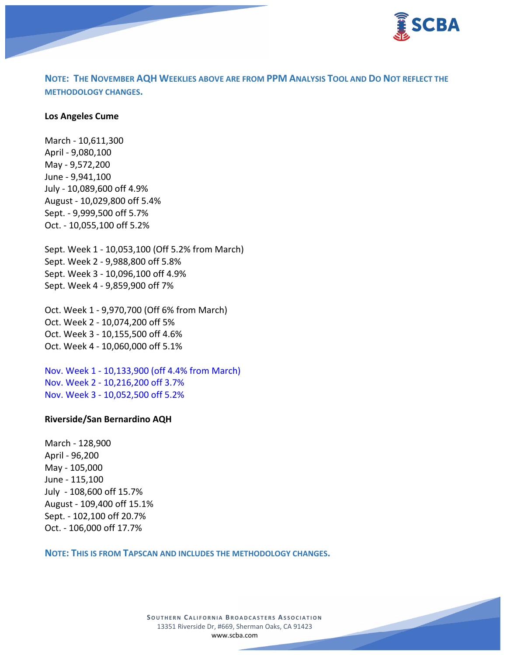

**NOTE: THE NOVEMBER AQH WEEKLIES ABOVE ARE FROM PPM ANALYSIS TOOL AND DO NOT REFLECT THE METHODOLOGY CHANGES.**

#### **Los Angeles Cume**

March - 10,611,300 April - 9,080,100 May - 9,572,200 June - 9,941,100 July - 10,089,600 off 4.9% August - 10,029,800 off 5.4% Sept. - 9,999,500 off 5.7% Oct. - 10,055,100 off 5.2% Sept. Week 1 - 10,053,100 (Off 5.2% from March) Sept. Week 2 - 9,988,800 off 5.8%

Sept. Week 3 - 10,096,100 off 4.9% Sept. Week 4 - 9,859,900 off 7%

Oct. Week 1 - 9,970,700 (Off 6% from March) Oct. Week 2 - 10,074,200 off 5% Oct. Week 3 - 10,155,500 off 4.6% Oct. Week 4 - 10,060,000 off 5.1%

Nov. Week 1 - 10,133,900 (off 4.4% from March) Nov. Week 2 - 10,216,200 off 3.7% Nov. Week 3 - 10,052,500 off 5.2%

#### **Riverside/San Bernardino AQH**

March - 128,900 April - 96,200 May - 105,000 June - 115,100 July - 108,600 off 15.7% August - 109,400 off 15.1% Sept. - 102,100 off 20.7% Oct. - 106,000 off 17.7%

**NOTE: THIS IS FROM TAPSCAN AND INCLUDES THE METHODOLOGY CHANGES.**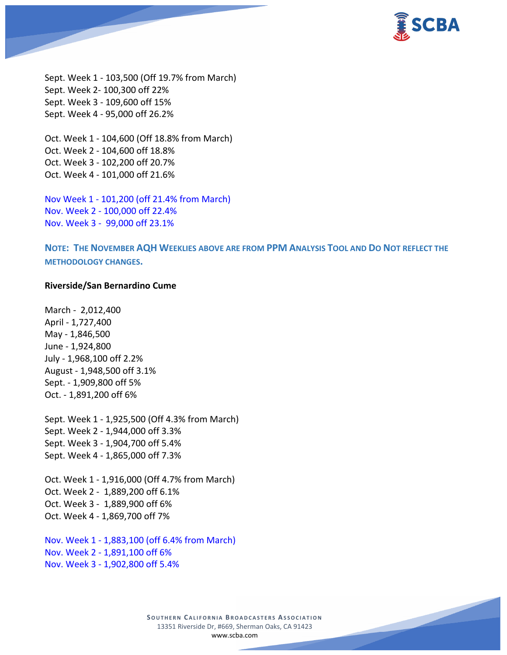

Sept. Week 1 - 103,500 (Off 19.7% from March) Sept. Week 2- 100,300 off 22% Sept. Week 3 - 109,600 off 15% Sept. Week 4 - 95,000 off 26.2%

Oct. Week 1 - 104,600 (Off 18.8% from March) Oct. Week 2 - 104,600 off 18.8% Oct. Week 3 - 102,200 off 20.7% Oct. Week 4 - 101,000 off 21.6%

Nov Week 1 - 101,200 (off 21.4% from March) Nov. Week 2 - 100,000 off 22.4% Nov. Week 3 - 99,000 off 23.1%

**NOTE: THE NOVEMBER AQH WEEKLIES ABOVE ARE FROM PPM ANALYSIS TOOL AND DO NOT REFLECT THE METHODOLOGY CHANGES.**

#### **Riverside/San Bernardino Cume**

March - 2,012,400 April - 1,727,400 May - 1,846,500 June - 1,924,800 July - 1,968,100 off 2.2% August - 1,948,500 off 3.1% Sept. - 1,909,800 off 5% Oct. - 1,891,200 off 6%

Sept. Week 1 - 1,925,500 (Off 4.3% from March) Sept. Week 2 - 1,944,000 off 3.3% Sept. Week 3 - 1,904,700 off 5.4% Sept. Week 4 - 1,865,000 off 7.3%

Oct. Week 1 - 1,916,000 (Off 4.7% from March) Oct. Week 2 - 1,889,200 off 6.1% Oct. Week 3 - 1,889,900 off 6% Oct. Week 4 - 1,869,700 off 7%

Nov. Week 1 - 1,883,100 (off 6.4% from March) Nov. Week 2 - 1,891,100 off 6% Nov. Week 3 - 1,902,800 off 5.4%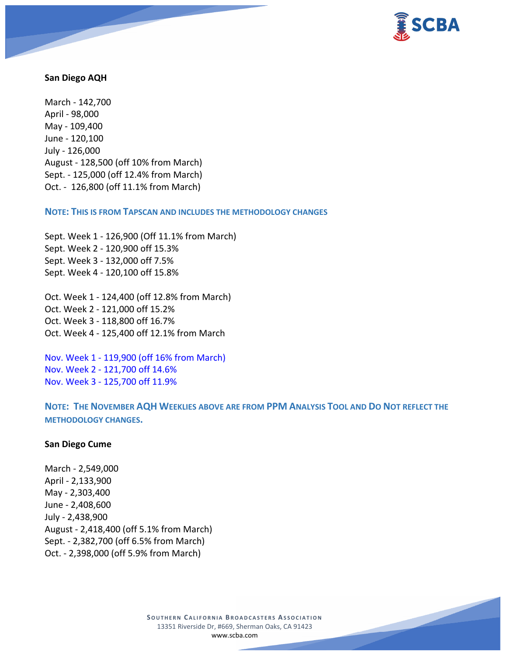

### **San Diego AQH**

March - 142,700 April - 98,000 May - 109,400 June - 120,100 July - 126,000 August - 128,500 (off 10% from March) Sept. - 125,000 (off 12.4% from March) Oct. - 126,800 (off 11.1% from March)

**NOTE: THIS IS FROM TAPSCAN AND INCLUDES THE METHODOLOGY CHANGES** 

Sept. Week 1 - 126,900 (Off 11.1% from March) Sept. Week 2 - 120,900 off 15.3% Sept. Week 3 - 132,000 off 7.5% Sept. Week 4 - 120,100 off 15.8%

Oct. Week 1 - 124,400 (off 12.8% from March) Oct. Week 2 - 121,000 off 15.2% Oct. Week 3 - 118,800 off 16.7% Oct. Week 4 - 125,400 off 12.1% from March

Nov. Week 1 - 119,900 (off 16% from March) Nov. Week 2 - 121,700 off 14.6% Nov. Week 3 - 125,700 off 11.9%

**NOTE: THE NOVEMBER AQH WEEKLIES ABOVE ARE FROM PPM ANALYSIS TOOL AND DO NOT REFLECT THE METHODOLOGY CHANGES.**

### **San Diego Cume**

March - 2,549,000 April - 2,133,900 May - 2,303,400 June - 2,408,600 July - 2,438,900 August - 2,418,400 (off 5.1% from March) Sept. - 2,382,700 (off 6.5% from March) Oct. - 2,398,000 (off 5.9% from March)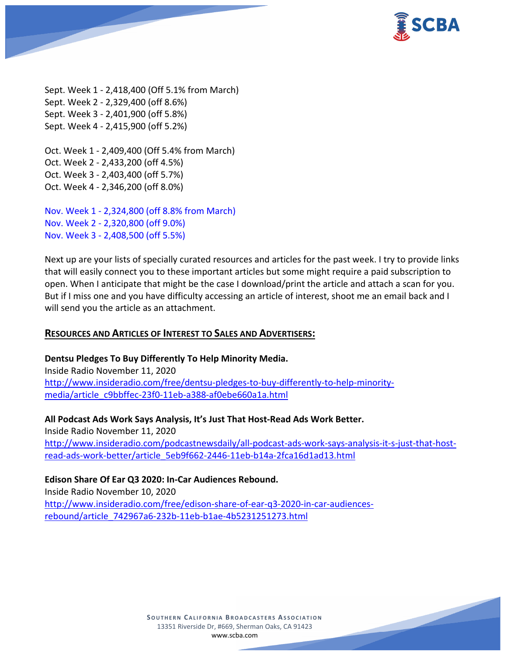

Sept. Week 1 - 2,418,400 (Off 5.1% from March) Sept. Week 2 - 2,329,400 (off 8.6%) Sept. Week 3 - 2,401,900 (off 5.8%) Sept. Week 4 - 2,415,900 (off 5.2%)

Oct. Week 1 - 2,409,400 (Off 5.4% from March) Oct. Week 2 - 2,433,200 (off 4.5%) Oct. Week 3 - 2,403,400 (off 5.7%) Oct. Week 4 - 2,346,200 (off 8.0%)

Nov. Week 1 - 2,324,800 (off 8.8% from March) Nov. Week 2 - 2,320,800 (off 9.0%) Nov. Week 3 - 2,408,500 (off 5.5%)

Next up are your lists of specially curated resources and articles for the past week. I try to provide links that will easily connect you to these important articles but some might require a paid subscription to open. When I anticipate that might be the case I download/print the article and attach a scan for you. But if I miss one and you have difficulty accessing an article of interest, shoot me an email back and I will send you the article as an attachment.

## **RESOURCES AND ARTICLES OF INTEREST TO SALES AND ADVERTISERS:**

## **Dentsu Pledges To Buy Differently To Help Minority Media.**

Inside Radio November 11, 2020 [http://www.insideradio.com/free/dentsu-pledges-to-buy-differently-to-help-minority](http://www.insideradio.com/free/dentsu-pledges-to-buy-differently-to-help-minority-media/article_c9bbffec-23f0-11eb-a388-af0ebe660a1a.html)[media/article\\_c9bbffec-23f0-11eb-a388-af0ebe660a1a.html](http://www.insideradio.com/free/dentsu-pledges-to-buy-differently-to-help-minority-media/article_c9bbffec-23f0-11eb-a388-af0ebe660a1a.html)

**All Podcast Ads Work Says Analysis, It's Just That Host-Read Ads Work Better.** Inside Radio November 11, 2020 [http://www.insideradio.com/podcastnewsdaily/all-podcast-ads-work-says-analysis-it-s-just-that-host](http://www.insideradio.com/podcastnewsdaily/all-podcast-ads-work-says-analysis-it-s-just-that-host-read-ads-work-better/article_5eb9f662-2446-11eb-b14a-2fca16d1ad13.html)[read-ads-work-better/article\\_5eb9f662-2446-11eb-b14a-2fca16d1ad13.html](http://www.insideradio.com/podcastnewsdaily/all-podcast-ads-work-says-analysis-it-s-just-that-host-read-ads-work-better/article_5eb9f662-2446-11eb-b14a-2fca16d1ad13.html)

## **Edison Share Of Ear Q3 2020: In-Car Audiences Rebound.**

Inside Radio November 10, 2020 [http://www.insideradio.com/free/edison-share-of-ear-q3-2020-in-car-audiences](http://www.insideradio.com/free/edison-share-of-ear-q3-2020-in-car-audiences-rebound/article_742967a6-232b-11eb-b1ae-4b5231251273.html)[rebound/article\\_742967a6-232b-11eb-b1ae-4b5231251273.html](http://www.insideradio.com/free/edison-share-of-ear-q3-2020-in-car-audiences-rebound/article_742967a6-232b-11eb-b1ae-4b5231251273.html)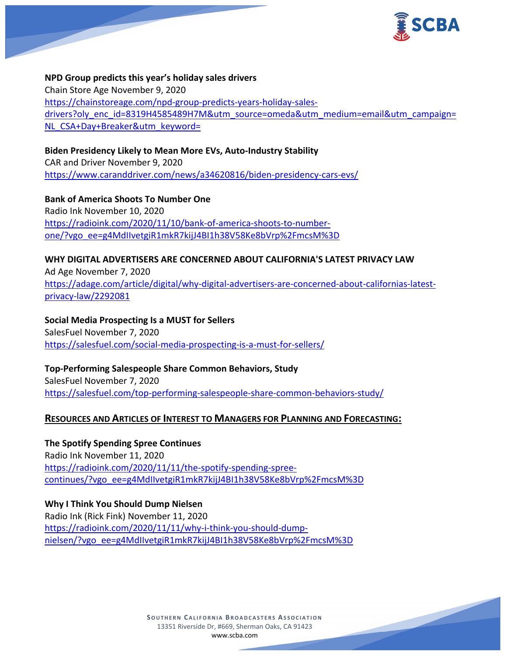

**NPD Group predicts this year's holiday sales drivers** Chain Store Age November 9, 2020 [https://chainstoreage.com/npd-group-predicts-years-holiday-sales](https://chainstoreage.com/npd-group-predicts-years-holiday-sales-drivers?oly_enc_id=8319H4585489H7M&utm_source=omeda&utm_medium=email&utm_campaign=NL_CSA+Day+Breaker&utm_keyword=)[drivers?oly\\_enc\\_id=8319H4585489H7M&utm\\_source=omeda&utm\\_medium=email&utm\\_campaign=](https://chainstoreage.com/npd-group-predicts-years-holiday-sales-drivers?oly_enc_id=8319H4585489H7M&utm_source=omeda&utm_medium=email&utm_campaign=NL_CSA+Day+Breaker&utm_keyword=) [NL\\_CSA+Day+Breaker&utm\\_keyword=](https://chainstoreage.com/npd-group-predicts-years-holiday-sales-drivers?oly_enc_id=8319H4585489H7M&utm_source=omeda&utm_medium=email&utm_campaign=NL_CSA+Day+Breaker&utm_keyword=)

**Biden Presidency Likely to Mean More EVs, Auto-Industry Stability** CAR and Driver November 9, 2020 <https://www.caranddriver.com/news/a34620816/biden-presidency-cars-evs/>

**Bank of America Shoots To Number One** Radio Ink November 10, 2020 [https://radioink.com/2020/11/10/bank-of-america-shoots-to-number](https://radioink.com/2020/11/10/bank-of-america-shoots-to-number-one/?vgo_ee=g4MdIIvetgiR1mkR7kijJ4BI1h38V58Ke8bVrp%2FmcsM%3D)[one/?vgo\\_ee=g4MdIIvetgiR1mkR7kijJ4BI1h38V58Ke8bVrp%2FmcsM%3D](https://radioink.com/2020/11/10/bank-of-america-shoots-to-number-one/?vgo_ee=g4MdIIvetgiR1mkR7kijJ4BI1h38V58Ke8bVrp%2FmcsM%3D)

**WHY DIGITAL ADVERTISERS ARE CONCERNED ABOUT CALIFORNIA'S LATEST PRIVACY LAW** Ad Age November 7, 2020 [https://adage.com/article/digital/why-digital-advertisers-are-concerned-about-californias-latest](https://adage.com/article/digital/why-digital-advertisers-are-concerned-about-californias-latest-privacy-law/2292081)[privacy-law/2292081](https://adage.com/article/digital/why-digital-advertisers-are-concerned-about-californias-latest-privacy-law/2292081)

**Social Media Prospecting Is a MUST for Sellers** SalesFuel November 7, 2020 <https://salesfuel.com/social-media-prospecting-is-a-must-for-sellers/>

**Top-Performing Salespeople Share Common Behaviors, Study** SalesFuel November 7, 2020 <https://salesfuel.com/top-performing-salespeople-share-common-behaviors-study/>

## **RESOURCES AND ARTICLES OF INTEREST TO MANAGERS FOR PLANNING AND FORECASTING:**

### **The Spotify Spending Spree Continues**

Radio Ink November 11, 2020 [https://radioink.com/2020/11/11/the-spotify-spending-spree](https://radioink.com/2020/11/11/the-spotify-spending-spree-continues/?vgo_ee=g4MdIIvetgiR1mkR7kijJ4BI1h38V58Ke8bVrp%2FmcsM%3D)[continues/?vgo\\_ee=g4MdIIvetgiR1mkR7kijJ4BI1h38V58Ke8bVrp%2FmcsM%3D](https://radioink.com/2020/11/11/the-spotify-spending-spree-continues/?vgo_ee=g4MdIIvetgiR1mkR7kijJ4BI1h38V58Ke8bVrp%2FmcsM%3D)

**Why I Think You Should Dump Nielsen** Radio Ink (Rick Fink) November 11, 2020 [https://radioink.com/2020/11/11/why-i-think-you-should-dump](https://radioink.com/2020/11/11/why-i-think-you-should-dump-nielsen/?vgo_ee=g4MdIIvetgiR1mkR7kijJ4BI1h38V58Ke8bVrp%2FmcsM%3D)[nielsen/?vgo\\_ee=g4MdIIvetgiR1mkR7kijJ4BI1h38V58Ke8bVrp%2FmcsM%3D](https://radioink.com/2020/11/11/why-i-think-you-should-dump-nielsen/?vgo_ee=g4MdIIvetgiR1mkR7kijJ4BI1h38V58Ke8bVrp%2FmcsM%3D)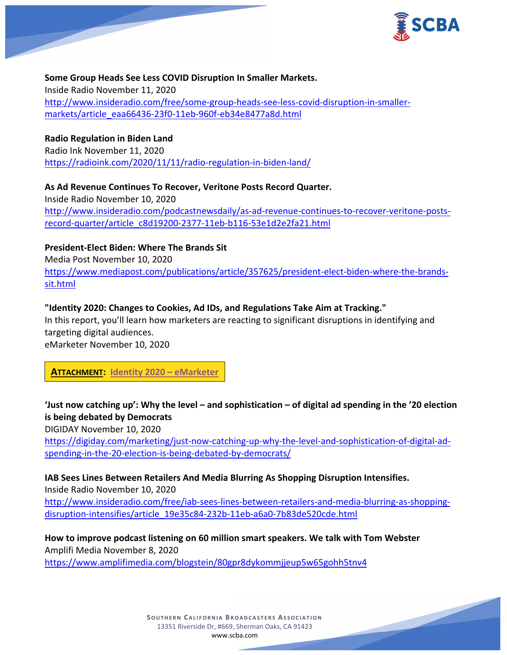

## **Some Group Heads See Less COVID Disruption In Smaller Markets.**

Inside Radio November 11, 2020 [http://www.insideradio.com/free/some-group-heads-see-less-covid-disruption-in-smaller](http://www.insideradio.com/free/some-group-heads-see-less-covid-disruption-in-smaller-markets/article_eaa66436-23f0-11eb-960f-eb34e8477a8d.html)[markets/article\\_eaa66436-23f0-11eb-960f-eb34e8477a8d.html](http://www.insideradio.com/free/some-group-heads-see-less-covid-disruption-in-smaller-markets/article_eaa66436-23f0-11eb-960f-eb34e8477a8d.html)

### **Radio Regulation in Biden Land**

Radio Ink November 11, 2020 <https://radioink.com/2020/11/11/radio-regulation-in-biden-land/>

**As Ad Revenue Continues To Recover, Veritone Posts Record Quarter.** Inside Radio November 10, 2020 [http://www.insideradio.com/podcastnewsdaily/as-ad-revenue-continues-to-recover-veritone-posts](http://www.insideradio.com/podcastnewsdaily/as-ad-revenue-continues-to-recover-veritone-posts-record-quarter/article_c8d19200-2377-11eb-b116-53e1d2e2fa21.html)[record-quarter/article\\_c8d19200-2377-11eb-b116-53e1d2e2fa21.html](http://www.insideradio.com/podcastnewsdaily/as-ad-revenue-continues-to-recover-veritone-posts-record-quarter/article_c8d19200-2377-11eb-b116-53e1d2e2fa21.html)

## **President-Elect Biden: Where The Brands Sit**

Media Post November 10, 2020 [https://www.mediapost.com/publications/article/357625/president-elect-biden-where-the-brands](https://www.mediapost.com/publications/article/357625/president-elect-biden-where-the-brands-sit.html)[sit.html](https://www.mediapost.com/publications/article/357625/president-elect-biden-where-the-brands-sit.html)

### **"Identity 2020: Changes to Cookies, Ad IDs, and Regulations Take Aim at Tracking."**

In this report, you'll learn how marketers are reacting to significant disruptions in identifying and targeting digital audiences.

eMarketer November 10, 2020

**ATTACHMENT: Identity 2020 – [eMarketer](https://scba.com/emarketer_-identity_2020_-report_november-2020-final/)**

# **'Just now catching up': Why the level – and sophistication – of digital ad spending in the '20 election is being debated by Democrats**

DIGIDAY November 10, 2020

[https://digiday.com/marketing/just-now-catching-up-why-the-level-and-sophistication-of-digital-ad](https://digiday.com/marketing/just-now-catching-up-why-the-level-and-sophistication-of-digital-ad-spending-in-the-20-election-is-being-debated-by-democrats/)[spending-in-the-20-election-is-being-debated-by-democrats/](https://digiday.com/marketing/just-now-catching-up-why-the-level-and-sophistication-of-digital-ad-spending-in-the-20-election-is-being-debated-by-democrats/)

**IAB Sees Lines Between Retailers And Media Blurring As Shopping Disruption Intensifies.**

Inside Radio November 10, 2020 [http://www.insideradio.com/free/iab-sees-lines-between-retailers-and-media-blurring-as-shopping](http://www.insideradio.com/free/iab-sees-lines-between-retailers-and-media-blurring-as-shopping-disruption-intensifies/article_19e35c84-232b-11eb-a6a0-7b83de520cde.html)[disruption-intensifies/article\\_19e35c84-232b-11eb-a6a0-7b83de520cde.html](http://www.insideradio.com/free/iab-sees-lines-between-retailers-and-media-blurring-as-shopping-disruption-intensifies/article_19e35c84-232b-11eb-a6a0-7b83de520cde.html)

**How to improve podcast listening on 60 million smart speakers. We talk with Tom Webster** Amplifi Media November 8, 2020

<https://www.amplifimedia.com/blogstein/80gpr8dykommjjeup5w65gohh5tnv4>